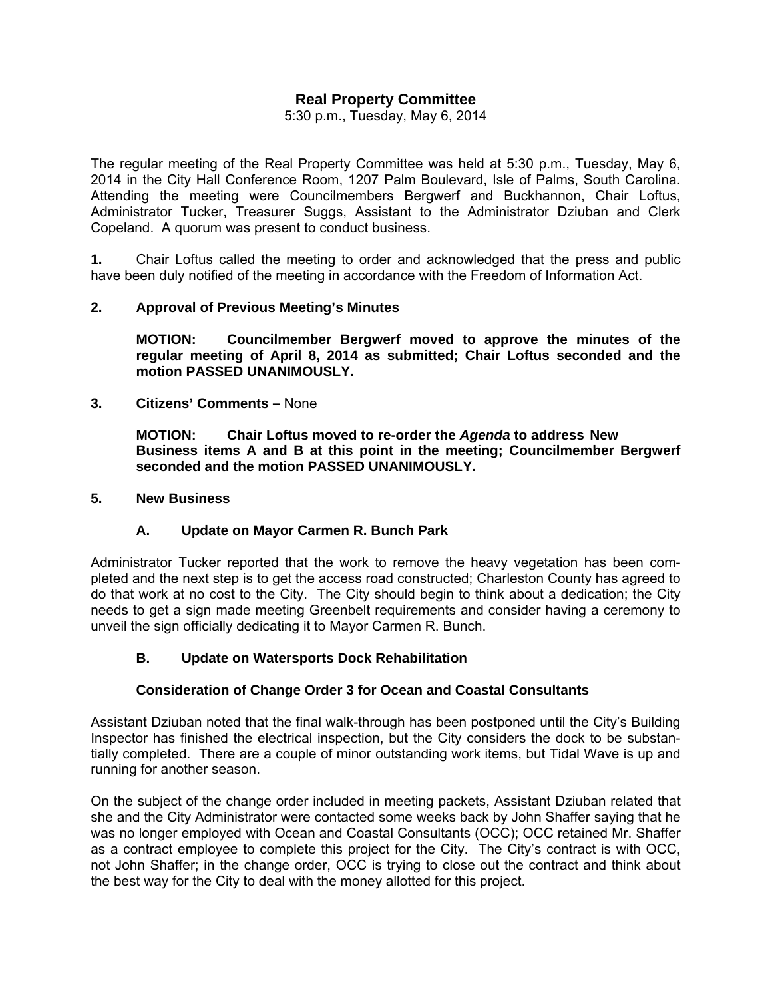# **Real Property Committee**

5:30 p.m., Tuesday, May 6, 2014

The regular meeting of the Real Property Committee was held at 5:30 p.m., Tuesday, May 6, 2014 in the City Hall Conference Room, 1207 Palm Boulevard, Isle of Palms, South Carolina. Attending the meeting were Councilmembers Bergwerf and Buckhannon, Chair Loftus, Administrator Tucker, Treasurer Suggs, Assistant to the Administrator Dziuban and Clerk Copeland. A quorum was present to conduct business.

**1.** Chair Loftus called the meeting to order and acknowledged that the press and public have been duly notified of the meeting in accordance with the Freedom of Information Act.

#### **2. Approval of Previous Meeting's Minutes**

 **MOTION: Councilmember Bergwerf moved to approve the minutes of the regular meeting of April 8, 2014 as submitted; Chair Loftus seconded and the motion PASSED UNANIMOUSLY.** 

**3. Citizens' Comments –** None

**MOTION: Chair Loftus moved to re-order the** *Agenda* **to address New Business items A and B at this point in the meeting; Councilmember Bergwerf seconded and the motion PASSED UNANIMOUSLY.** 

#### **5. New Business**

#### **A. Update on Mayor Carmen R. Bunch Park**

Administrator Tucker reported that the work to remove the heavy vegetation has been completed and the next step is to get the access road constructed; Charleston County has agreed to do that work at no cost to the City. The City should begin to think about a dedication; the City needs to get a sign made meeting Greenbelt requirements and consider having a ceremony to unveil the sign officially dedicating it to Mayor Carmen R. Bunch.

#### **B. Update on Watersports Dock Rehabilitation**

## **Consideration of Change Order 3 for Ocean and Coastal Consultants**

Assistant Dziuban noted that the final walk-through has been postponed until the City's Building Inspector has finished the electrical inspection, but the City considers the dock to be substantially completed. There are a couple of minor outstanding work items, but Tidal Wave is up and running for another season.

On the subject of the change order included in meeting packets, Assistant Dziuban related that she and the City Administrator were contacted some weeks back by John Shaffer saying that he was no longer employed with Ocean and Coastal Consultants (OCC); OCC retained Mr. Shaffer as a contract employee to complete this project for the City. The City's contract is with OCC, not John Shaffer; in the change order, OCC is trying to close out the contract and think about the best way for the City to deal with the money allotted for this project.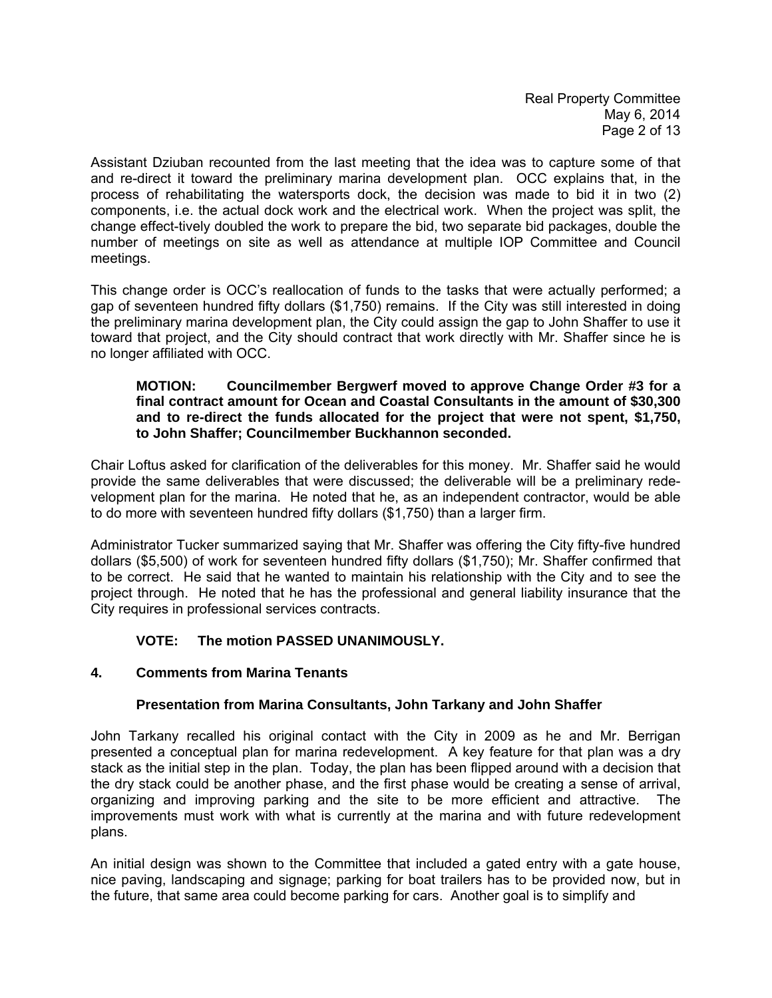Real Property Committee May 6, 2014 Page 2 of 13

Assistant Dziuban recounted from the last meeting that the idea was to capture some of that and re-direct it toward the preliminary marina development plan. OCC explains that, in the process of rehabilitating the watersports dock, the decision was made to bid it in two (2) components, i.e. the actual dock work and the electrical work. When the project was split, the change effect-tively doubled the work to prepare the bid, two separate bid packages, double the number of meetings on site as well as attendance at multiple IOP Committee and Council meetings.

This change order is OCC's reallocation of funds to the tasks that were actually performed; a gap of seventeen hundred fifty dollars (\$1,750) remains. If the City was still interested in doing the preliminary marina development plan, the City could assign the gap to John Shaffer to use it toward that project, and the City should contract that work directly with Mr. Shaffer since he is no longer affiliated with OCC.

#### **MOTION: Councilmember Bergwerf moved to approve Change Order #3 for a final contract amount for Ocean and Coastal Consultants in the amount of \$30,300 and to re-direct the funds allocated for the project that were not spent, \$1,750, to John Shaffer; Councilmember Buckhannon seconded.**

Chair Loftus asked for clarification of the deliverables for this money. Mr. Shaffer said he would provide the same deliverables that were discussed; the deliverable will be a preliminary redevelopment plan for the marina. He noted that he, as an independent contractor, would be able to do more with seventeen hundred fifty dollars (\$1,750) than a larger firm.

Administrator Tucker summarized saying that Mr. Shaffer was offering the City fifty-five hundred dollars (\$5,500) of work for seventeen hundred fifty dollars (\$1,750); Mr. Shaffer confirmed that to be correct. He said that he wanted to maintain his relationship with the City and to see the project through. He noted that he has the professional and general liability insurance that the City requires in professional services contracts.

# **VOTE: The motion PASSED UNANIMOUSLY.**

# **4. Comments from Marina Tenants**

# **Presentation from Marina Consultants, John Tarkany and John Shaffer**

John Tarkany recalled his original contact with the City in 2009 as he and Mr. Berrigan presented a conceptual plan for marina redevelopment. A key feature for that plan was a dry stack as the initial step in the plan. Today, the plan has been flipped around with a decision that the dry stack could be another phase, and the first phase would be creating a sense of arrival, organizing and improving parking and the site to be more efficient and attractive. The improvements must work with what is currently at the marina and with future redevelopment plans.

An initial design was shown to the Committee that included a gated entry with a gate house, nice paving, landscaping and signage; parking for boat trailers has to be provided now, but in the future, that same area could become parking for cars. Another goal is to simplify and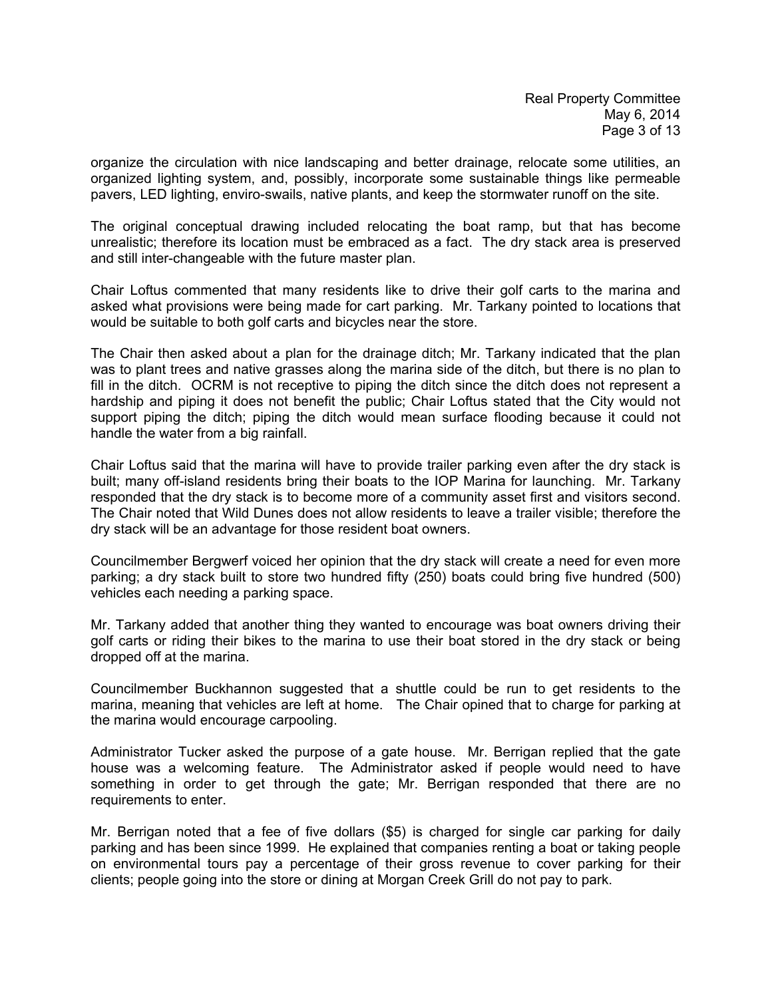organize the circulation with nice landscaping and better drainage, relocate some utilities, an organized lighting system, and, possibly, incorporate some sustainable things like permeable pavers, LED lighting, enviro-swails, native plants, and keep the stormwater runoff on the site.

The original conceptual drawing included relocating the boat ramp, but that has become unrealistic; therefore its location must be embraced as a fact. The dry stack area is preserved and still inter-changeable with the future master plan.

Chair Loftus commented that many residents like to drive their golf carts to the marina and asked what provisions were being made for cart parking. Mr. Tarkany pointed to locations that would be suitable to both golf carts and bicycles near the store.

The Chair then asked about a plan for the drainage ditch; Mr. Tarkany indicated that the plan was to plant trees and native grasses along the marina side of the ditch, but there is no plan to fill in the ditch. OCRM is not receptive to piping the ditch since the ditch does not represent a hardship and piping it does not benefit the public; Chair Loftus stated that the City would not support piping the ditch; piping the ditch would mean surface flooding because it could not handle the water from a big rainfall.

Chair Loftus said that the marina will have to provide trailer parking even after the dry stack is built; many off-island residents bring their boats to the IOP Marina for launching. Mr. Tarkany responded that the dry stack is to become more of a community asset first and visitors second. The Chair noted that Wild Dunes does not allow residents to leave a trailer visible; therefore the dry stack will be an advantage for those resident boat owners.

Councilmember Bergwerf voiced her opinion that the dry stack will create a need for even more parking; a dry stack built to store two hundred fifty (250) boats could bring five hundred (500) vehicles each needing a parking space.

Mr. Tarkany added that another thing they wanted to encourage was boat owners driving their golf carts or riding their bikes to the marina to use their boat stored in the dry stack or being dropped off at the marina.

Councilmember Buckhannon suggested that a shuttle could be run to get residents to the marina, meaning that vehicles are left at home. The Chair opined that to charge for parking at the marina would encourage carpooling.

Administrator Tucker asked the purpose of a gate house. Mr. Berrigan replied that the gate house was a welcoming feature. The Administrator asked if people would need to have something in order to get through the gate; Mr. Berrigan responded that there are no requirements to enter.

Mr. Berrigan noted that a fee of five dollars (\$5) is charged for single car parking for daily parking and has been since 1999. He explained that companies renting a boat or taking people on environmental tours pay a percentage of their gross revenue to cover parking for their clients; people going into the store or dining at Morgan Creek Grill do not pay to park.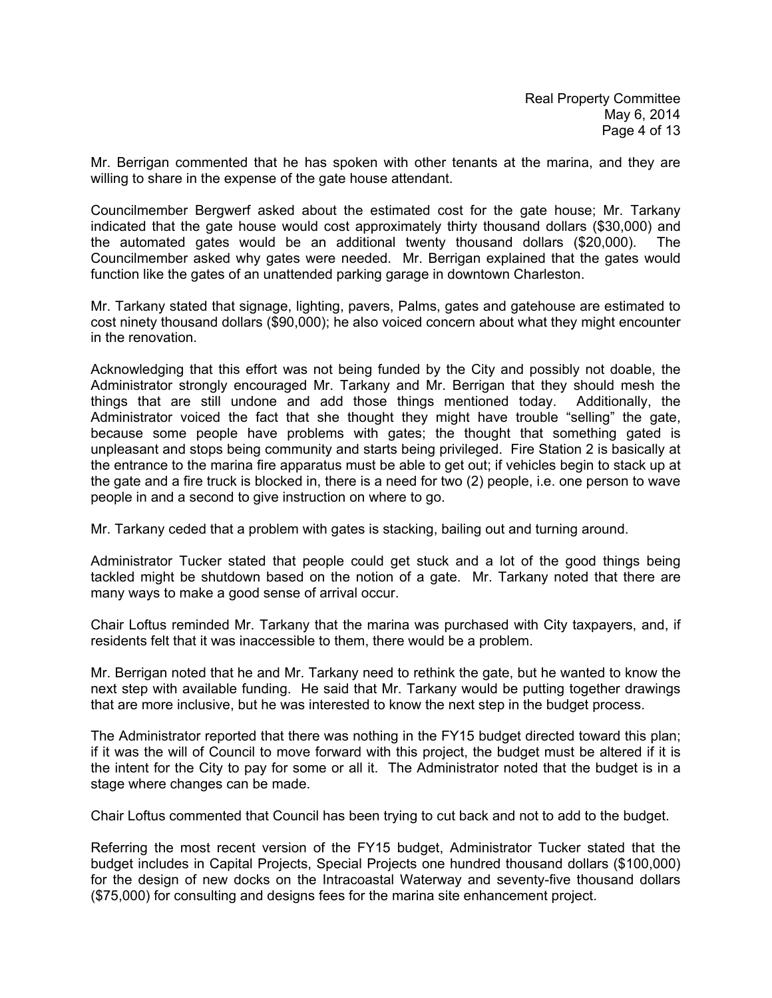Mr. Berrigan commented that he has spoken with other tenants at the marina, and they are willing to share in the expense of the gate house attendant.

Councilmember Bergwerf asked about the estimated cost for the gate house; Mr. Tarkany indicated that the gate house would cost approximately thirty thousand dollars (\$30,000) and the automated gates would be an additional twenty thousand dollars (\$20,000). The Councilmember asked why gates were needed. Mr. Berrigan explained that the gates would function like the gates of an unattended parking garage in downtown Charleston.

Mr. Tarkany stated that signage, lighting, pavers, Palms, gates and gatehouse are estimated to cost ninety thousand dollars (\$90,000); he also voiced concern about what they might encounter in the renovation.

Acknowledging that this effort was not being funded by the City and possibly not doable, the Administrator strongly encouraged Mr. Tarkany and Mr. Berrigan that they should mesh the things that are still undone and add those things mentioned today. Additionally, the Administrator voiced the fact that she thought they might have trouble "selling" the gate, because some people have problems with gates; the thought that something gated is unpleasant and stops being community and starts being privileged. Fire Station 2 is basically at the entrance to the marina fire apparatus must be able to get out; if vehicles begin to stack up at the gate and a fire truck is blocked in, there is a need for two (2) people, i.e. one person to wave people in and a second to give instruction on where to go.

Mr. Tarkany ceded that a problem with gates is stacking, bailing out and turning around.

Administrator Tucker stated that people could get stuck and a lot of the good things being tackled might be shutdown based on the notion of a gate. Mr. Tarkany noted that there are many ways to make a good sense of arrival occur.

Chair Loftus reminded Mr. Tarkany that the marina was purchased with City taxpayers, and, if residents felt that it was inaccessible to them, there would be a problem.

Mr. Berrigan noted that he and Mr. Tarkany need to rethink the gate, but he wanted to know the next step with available funding. He said that Mr. Tarkany would be putting together drawings that are more inclusive, but he was interested to know the next step in the budget process.

The Administrator reported that there was nothing in the FY15 budget directed toward this plan; if it was the will of Council to move forward with this project, the budget must be altered if it is the intent for the City to pay for some or all it. The Administrator noted that the budget is in a stage where changes can be made.

Chair Loftus commented that Council has been trying to cut back and not to add to the budget.

Referring the most recent version of the FY15 budget, Administrator Tucker stated that the budget includes in Capital Projects, Special Projects one hundred thousand dollars (\$100,000) for the design of new docks on the Intracoastal Waterway and seventy-five thousand dollars (\$75,000) for consulting and designs fees for the marina site enhancement project.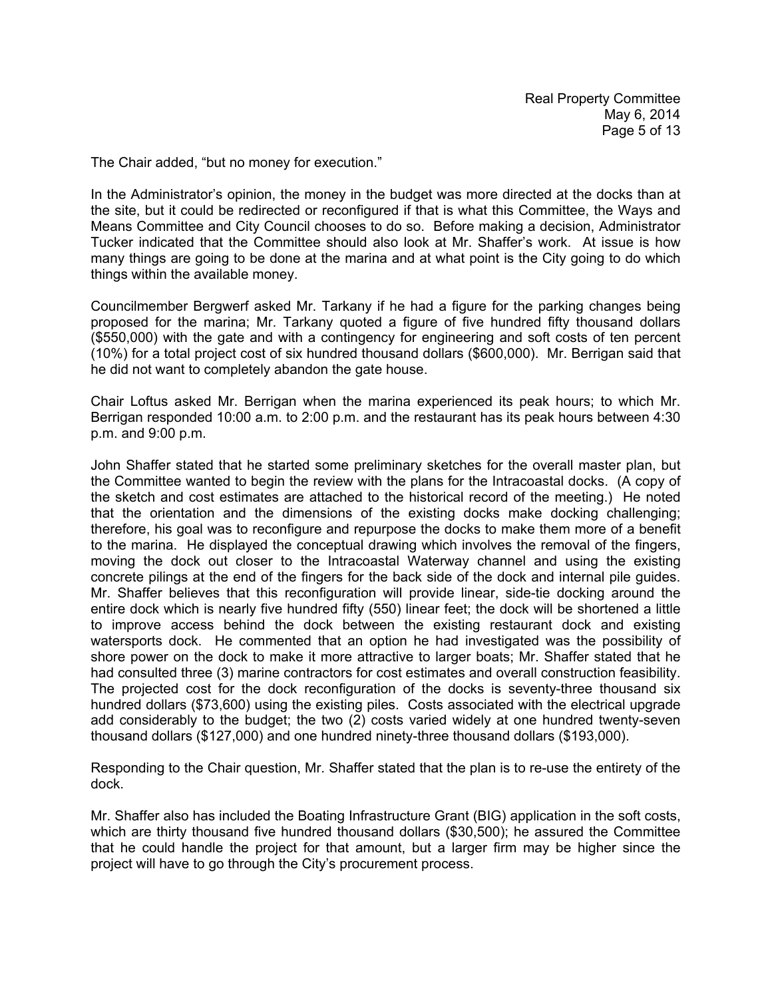The Chair added, "but no money for execution."

In the Administrator's opinion, the money in the budget was more directed at the docks than at the site, but it could be redirected or reconfigured if that is what this Committee, the Ways and Means Committee and City Council chooses to do so. Before making a decision, Administrator Tucker indicated that the Committee should also look at Mr. Shaffer's work. At issue is how many things are going to be done at the marina and at what point is the City going to do which things within the available money.

Councilmember Bergwerf asked Mr. Tarkany if he had a figure for the parking changes being proposed for the marina; Mr. Tarkany quoted a figure of five hundred fifty thousand dollars (\$550,000) with the gate and with a contingency for engineering and soft costs of ten percent (10%) for a total project cost of six hundred thousand dollars (\$600,000). Mr. Berrigan said that he did not want to completely abandon the gate house.

Chair Loftus asked Mr. Berrigan when the marina experienced its peak hours; to which Mr. Berrigan responded 10:00 a.m. to 2:00 p.m. and the restaurant has its peak hours between 4:30 p.m. and 9:00 p.m.

John Shaffer stated that he started some preliminary sketches for the overall master plan, but the Committee wanted to begin the review with the plans for the Intracoastal docks. (A copy of the sketch and cost estimates are attached to the historical record of the meeting.) He noted that the orientation and the dimensions of the existing docks make docking challenging; therefore, his goal was to reconfigure and repurpose the docks to make them more of a benefit to the marina. He displayed the conceptual drawing which involves the removal of the fingers, moving the dock out closer to the Intracoastal Waterway channel and using the existing concrete pilings at the end of the fingers for the back side of the dock and internal pile guides. Mr. Shaffer believes that this reconfiguration will provide linear, side-tie docking around the entire dock which is nearly five hundred fifty (550) linear feet; the dock will be shortened a little to improve access behind the dock between the existing restaurant dock and existing watersports dock. He commented that an option he had investigated was the possibility of shore power on the dock to make it more attractive to larger boats; Mr. Shaffer stated that he had consulted three (3) marine contractors for cost estimates and overall construction feasibility. The projected cost for the dock reconfiguration of the docks is seventy-three thousand six hundred dollars (\$73,600) using the existing piles. Costs associated with the electrical upgrade add considerably to the budget; the two (2) costs varied widely at one hundred twenty-seven thousand dollars (\$127,000) and one hundred ninety-three thousand dollars (\$193,000).

Responding to the Chair question, Mr. Shaffer stated that the plan is to re-use the entirety of the dock.

Mr. Shaffer also has included the Boating Infrastructure Grant (BIG) application in the soft costs, which are thirty thousand five hundred thousand dollars (\$30,500); he assured the Committee that he could handle the project for that amount, but a larger firm may be higher since the project will have to go through the City's procurement process.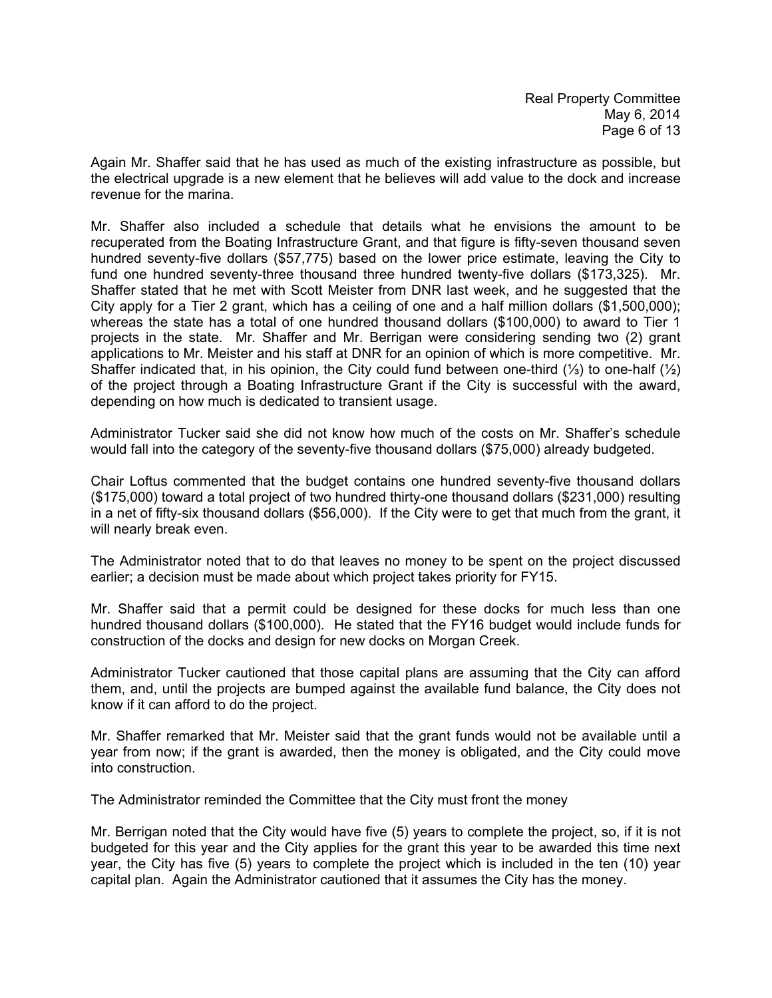Again Mr. Shaffer said that he has used as much of the existing infrastructure as possible, but the electrical upgrade is a new element that he believes will add value to the dock and increase revenue for the marina.

Mr. Shaffer also included a schedule that details what he envisions the amount to be recuperated from the Boating Infrastructure Grant, and that figure is fifty-seven thousand seven hundred seventy-five dollars (\$57,775) based on the lower price estimate, leaving the City to fund one hundred seventy-three thousand three hundred twenty-five dollars (\$173,325). Mr. Shaffer stated that he met with Scott Meister from DNR last week, and he suggested that the City apply for a Tier 2 grant, which has a ceiling of one and a half million dollars (\$1,500,000); whereas the state has a total of one hundred thousand dollars (\$100,000) to award to Tier 1 projects in the state. Mr. Shaffer and Mr. Berrigan were considering sending two (2) grant applications to Mr. Meister and his staff at DNR for an opinion of which is more competitive. Mr. Shaffer indicated that, in his opinion, the City could fund between one-third (⅓) to one-half (½) of the project through a Boating Infrastructure Grant if the City is successful with the award, depending on how much is dedicated to transient usage.

Administrator Tucker said she did not know how much of the costs on Mr. Shaffer's schedule would fall into the category of the seventy-five thousand dollars (\$75,000) already budgeted.

Chair Loftus commented that the budget contains one hundred seventy-five thousand dollars (\$175,000) toward a total project of two hundred thirty-one thousand dollars (\$231,000) resulting in a net of fifty-six thousand dollars (\$56,000). If the City were to get that much from the grant, it will nearly break even.

The Administrator noted that to do that leaves no money to be spent on the project discussed earlier; a decision must be made about which project takes priority for FY15.

Mr. Shaffer said that a permit could be designed for these docks for much less than one hundred thousand dollars (\$100,000). He stated that the FY16 budget would include funds for construction of the docks and design for new docks on Morgan Creek.

Administrator Tucker cautioned that those capital plans are assuming that the City can afford them, and, until the projects are bumped against the available fund balance, the City does not know if it can afford to do the project.

Mr. Shaffer remarked that Mr. Meister said that the grant funds would not be available until a year from now; if the grant is awarded, then the money is obligated, and the City could move into construction.

The Administrator reminded the Committee that the City must front the money

Mr. Berrigan noted that the City would have five (5) years to complete the project, so, if it is not budgeted for this year and the City applies for the grant this year to be awarded this time next year, the City has five (5) years to complete the project which is included in the ten (10) year capital plan. Again the Administrator cautioned that it assumes the City has the money.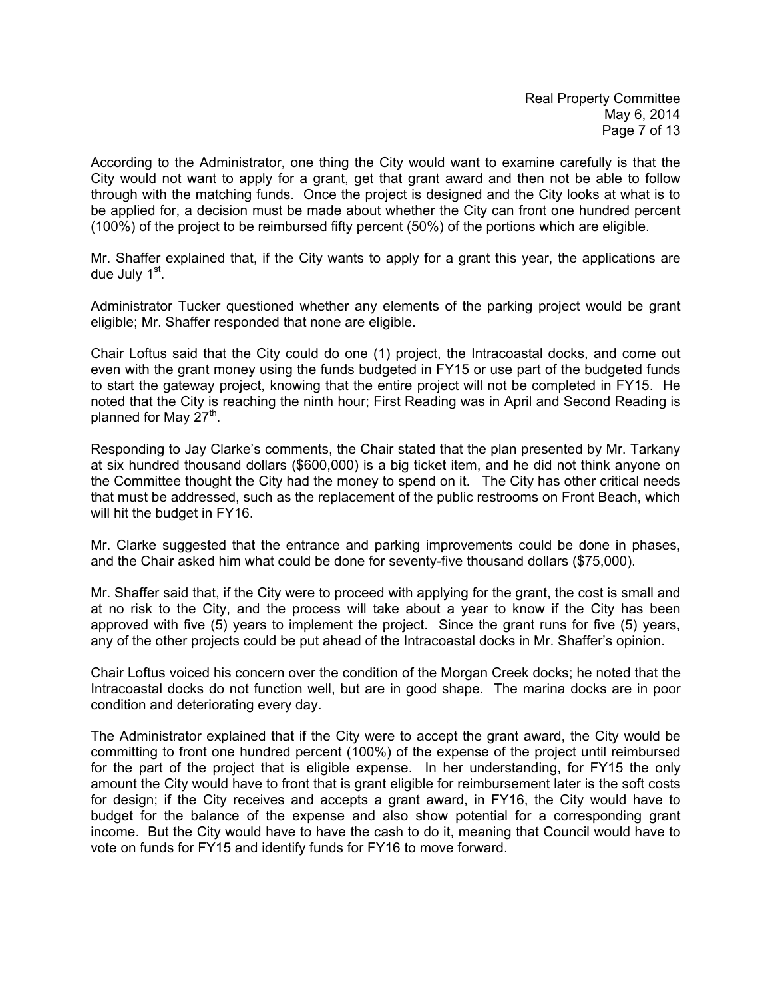According to the Administrator, one thing the City would want to examine carefully is that the City would not want to apply for a grant, get that grant award and then not be able to follow through with the matching funds. Once the project is designed and the City looks at what is to be applied for, a decision must be made about whether the City can front one hundred percent (100%) of the project to be reimbursed fifty percent (50%) of the portions which are eligible.

Mr. Shaffer explained that, if the City wants to apply for a grant this year, the applications are due July 1<sup>st</sup>.

Administrator Tucker questioned whether any elements of the parking project would be grant eligible; Mr. Shaffer responded that none are eligible.

Chair Loftus said that the City could do one (1) project, the Intracoastal docks, and come out even with the grant money using the funds budgeted in FY15 or use part of the budgeted funds to start the gateway project, knowing that the entire project will not be completed in FY15. He noted that the City is reaching the ninth hour; First Reading was in April and Second Reading is planned for May 27<sup>th</sup>.

Responding to Jay Clarke's comments, the Chair stated that the plan presented by Mr. Tarkany at six hundred thousand dollars (\$600,000) is a big ticket item, and he did not think anyone on the Committee thought the City had the money to spend on it. The City has other critical needs that must be addressed, such as the replacement of the public restrooms on Front Beach, which will hit the budget in FY16.

Mr. Clarke suggested that the entrance and parking improvements could be done in phases, and the Chair asked him what could be done for seventy-five thousand dollars (\$75,000).

Mr. Shaffer said that, if the City were to proceed with applying for the grant, the cost is small and at no risk to the City, and the process will take about a year to know if the City has been approved with five (5) years to implement the project. Since the grant runs for five (5) years, any of the other projects could be put ahead of the Intracoastal docks in Mr. Shaffer's opinion.

Chair Loftus voiced his concern over the condition of the Morgan Creek docks; he noted that the Intracoastal docks do not function well, but are in good shape. The marina docks are in poor condition and deteriorating every day.

The Administrator explained that if the City were to accept the grant award, the City would be committing to front one hundred percent (100%) of the expense of the project until reimbursed for the part of the project that is eligible expense. In her understanding, for FY15 the only amount the City would have to front that is grant eligible for reimbursement later is the soft costs for design; if the City receives and accepts a grant award, in FY16, the City would have to budget for the balance of the expense and also show potential for a corresponding grant income. But the City would have to have the cash to do it, meaning that Council would have to vote on funds for FY15 and identify funds for FY16 to move forward.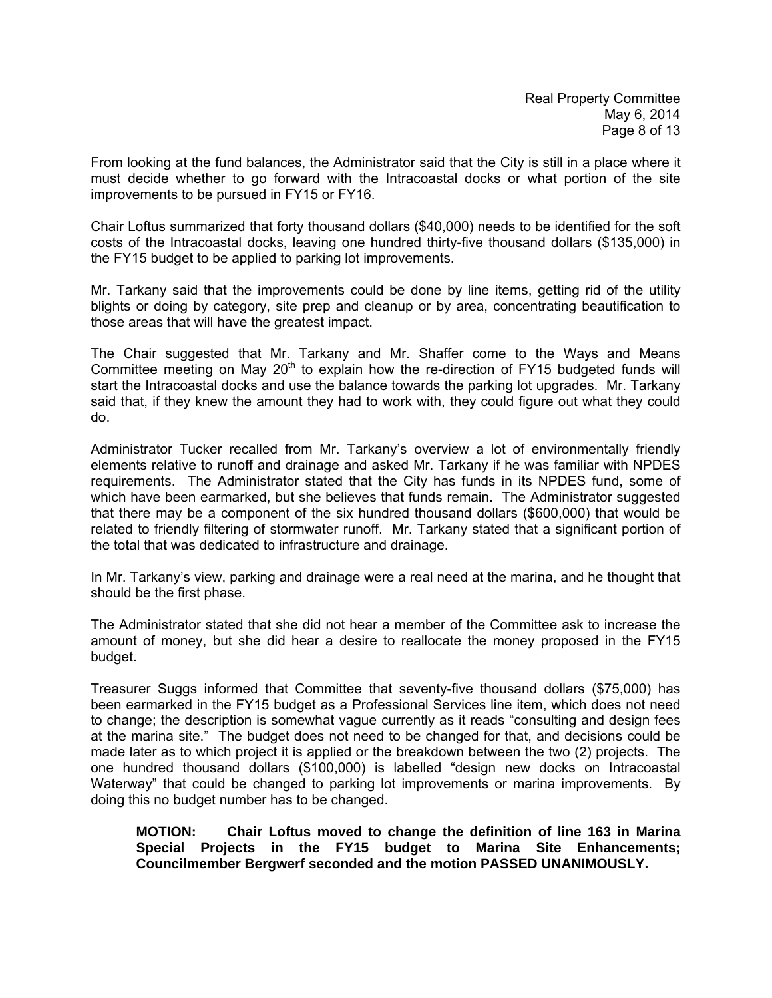From looking at the fund balances, the Administrator said that the City is still in a place where it must decide whether to go forward with the Intracoastal docks or what portion of the site improvements to be pursued in FY15 or FY16.

Chair Loftus summarized that forty thousand dollars (\$40,000) needs to be identified for the soft costs of the Intracoastal docks, leaving one hundred thirty-five thousand dollars (\$135,000) in the FY15 budget to be applied to parking lot improvements.

Mr. Tarkany said that the improvements could be done by line items, getting rid of the utility blights or doing by category, site prep and cleanup or by area, concentrating beautification to those areas that will have the greatest impact.

The Chair suggested that Mr. Tarkany and Mr. Shaffer come to the Ways and Means Committee meeting on May 20<sup>th</sup> to explain how the re-direction of FY15 budgeted funds will start the Intracoastal docks and use the balance towards the parking lot upgrades. Mr. Tarkany said that, if they knew the amount they had to work with, they could figure out what they could do.

Administrator Tucker recalled from Mr. Tarkany's overview a lot of environmentally friendly elements relative to runoff and drainage and asked Mr. Tarkany if he was familiar with NPDES requirements. The Administrator stated that the City has funds in its NPDES fund, some of which have been earmarked, but she believes that funds remain. The Administrator suggested that there may be a component of the six hundred thousand dollars (\$600,000) that would be related to friendly filtering of stormwater runoff. Mr. Tarkany stated that a significant portion of the total that was dedicated to infrastructure and drainage.

In Mr. Tarkany's view, parking and drainage were a real need at the marina, and he thought that should be the first phase.

The Administrator stated that she did not hear a member of the Committee ask to increase the amount of money, but she did hear a desire to reallocate the money proposed in the FY15 budget.

Treasurer Suggs informed that Committee that seventy-five thousand dollars (\$75,000) has been earmarked in the FY15 budget as a Professional Services line item, which does not need to change; the description is somewhat vague currently as it reads "consulting and design fees at the marina site." The budget does not need to be changed for that, and decisions could be made later as to which project it is applied or the breakdown between the two (2) projects. The one hundred thousand dollars (\$100,000) is labelled "design new docks on Intracoastal Waterway" that could be changed to parking lot improvements or marina improvements. By doing this no budget number has to be changed.

**MOTION: Chair Loftus moved to change the definition of line 163 in Marina Special Projects in the FY15 budget to Marina Site Enhancements; Councilmember Bergwerf seconded and the motion PASSED UNANIMOUSLY.**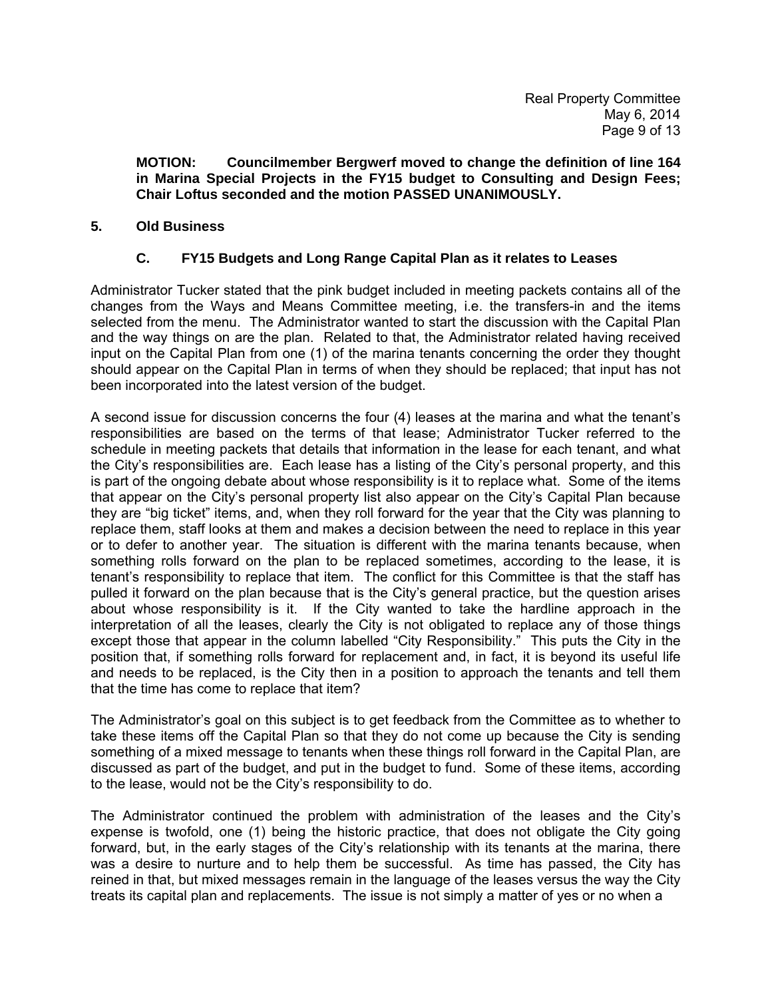**MOTION: Councilmember Bergwerf moved to change the definition of line 164 in Marina Special Projects in the FY15 budget to Consulting and Design Fees; Chair Loftus seconded and the motion PASSED UNANIMOUSLY.** 

## **5. Old Business**

## **C. FY15 Budgets and Long Range Capital Plan as it relates to Leases**

Administrator Tucker stated that the pink budget included in meeting packets contains all of the changes from the Ways and Means Committee meeting, i.e. the transfers-in and the items selected from the menu. The Administrator wanted to start the discussion with the Capital Plan and the way things on are the plan. Related to that, the Administrator related having received input on the Capital Plan from one (1) of the marina tenants concerning the order they thought should appear on the Capital Plan in terms of when they should be replaced; that input has not been incorporated into the latest version of the budget.

A second issue for discussion concerns the four (4) leases at the marina and what the tenant's responsibilities are based on the terms of that lease; Administrator Tucker referred to the schedule in meeting packets that details that information in the lease for each tenant, and what the City's responsibilities are. Each lease has a listing of the City's personal property, and this is part of the ongoing debate about whose responsibility is it to replace what. Some of the items that appear on the City's personal property list also appear on the City's Capital Plan because they are "big ticket" items, and, when they roll forward for the year that the City was planning to replace them, staff looks at them and makes a decision between the need to replace in this year or to defer to another year. The situation is different with the marina tenants because, when something rolls forward on the plan to be replaced sometimes, according to the lease, it is tenant's responsibility to replace that item. The conflict for this Committee is that the staff has pulled it forward on the plan because that is the City's general practice, but the question arises about whose responsibility is it. If the City wanted to take the hardline approach in the interpretation of all the leases, clearly the City is not obligated to replace any of those things except those that appear in the column labelled "City Responsibility." This puts the City in the position that, if something rolls forward for replacement and, in fact, it is beyond its useful life and needs to be replaced, is the City then in a position to approach the tenants and tell them that the time has come to replace that item?

The Administrator's goal on this subject is to get feedback from the Committee as to whether to take these items off the Capital Plan so that they do not come up because the City is sending something of a mixed message to tenants when these things roll forward in the Capital Plan, are discussed as part of the budget, and put in the budget to fund. Some of these items, according to the lease, would not be the City's responsibility to do.

The Administrator continued the problem with administration of the leases and the City's expense is twofold, one (1) being the historic practice, that does not obligate the City going forward, but, in the early stages of the City's relationship with its tenants at the marina, there was a desire to nurture and to help them be successful. As time has passed, the City has reined in that, but mixed messages remain in the language of the leases versus the way the City treats its capital plan and replacements. The issue is not simply a matter of yes or no when a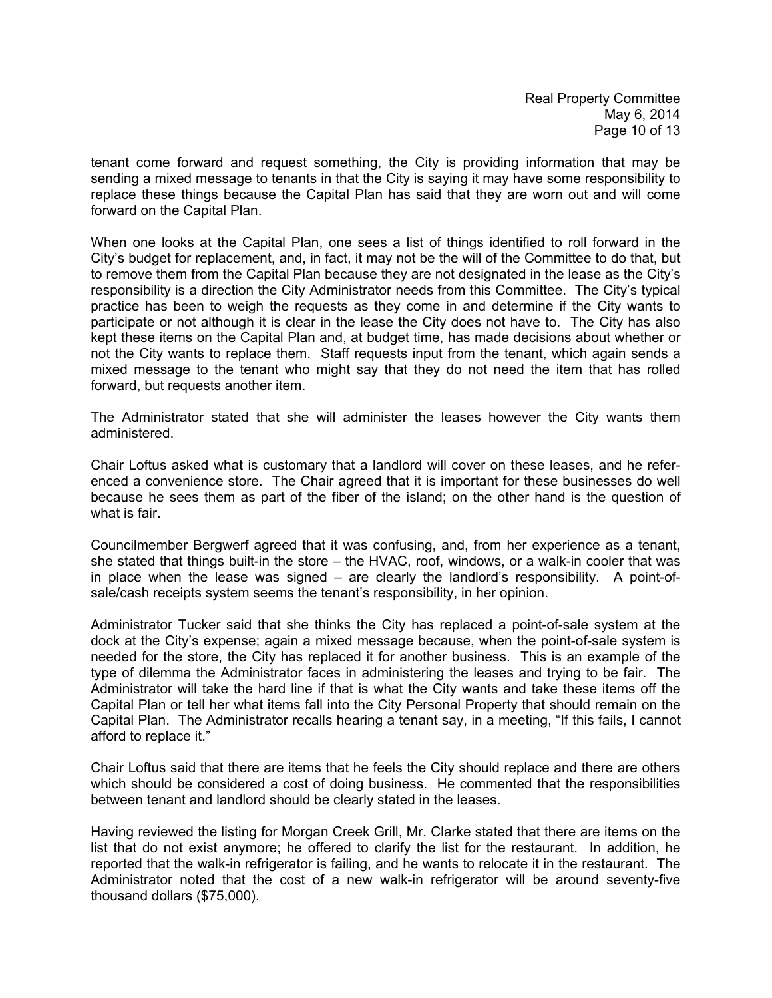tenant come forward and request something, the City is providing information that may be sending a mixed message to tenants in that the City is saying it may have some responsibility to replace these things because the Capital Plan has said that they are worn out and will come forward on the Capital Plan.

When one looks at the Capital Plan, one sees a list of things identified to roll forward in the City's budget for replacement, and, in fact, it may not be the will of the Committee to do that, but to remove them from the Capital Plan because they are not designated in the lease as the City's responsibility is a direction the City Administrator needs from this Committee. The City's typical practice has been to weigh the requests as they come in and determine if the City wants to participate or not although it is clear in the lease the City does not have to. The City has also kept these items on the Capital Plan and, at budget time, has made decisions about whether or not the City wants to replace them. Staff requests input from the tenant, which again sends a mixed message to the tenant who might say that they do not need the item that has rolled forward, but requests another item.

The Administrator stated that she will administer the leases however the City wants them administered.

Chair Loftus asked what is customary that a landlord will cover on these leases, and he referenced a convenience store. The Chair agreed that it is important for these businesses do well because he sees them as part of the fiber of the island; on the other hand is the question of what is fair.

Councilmember Bergwerf agreed that it was confusing, and, from her experience as a tenant, she stated that things built-in the store – the HVAC, roof, windows, or a walk-in cooler that was in place when the lease was signed – are clearly the landlord's responsibility. A point-ofsale/cash receipts system seems the tenant's responsibility, in her opinion.

Administrator Tucker said that she thinks the City has replaced a point-of-sale system at the dock at the City's expense; again a mixed message because, when the point-of-sale system is needed for the store, the City has replaced it for another business. This is an example of the type of dilemma the Administrator faces in administering the leases and trying to be fair. The Administrator will take the hard line if that is what the City wants and take these items off the Capital Plan or tell her what items fall into the City Personal Property that should remain on the Capital Plan. The Administrator recalls hearing a tenant say, in a meeting, "If this fails, I cannot afford to replace it."

Chair Loftus said that there are items that he feels the City should replace and there are others which should be considered a cost of doing business. He commented that the responsibilities between tenant and landlord should be clearly stated in the leases.

Having reviewed the listing for Morgan Creek Grill, Mr. Clarke stated that there are items on the list that do not exist anymore; he offered to clarify the list for the restaurant. In addition, he reported that the walk-in refrigerator is failing, and he wants to relocate it in the restaurant. The Administrator noted that the cost of a new walk-in refrigerator will be around seventy-five thousand dollars (\$75,000).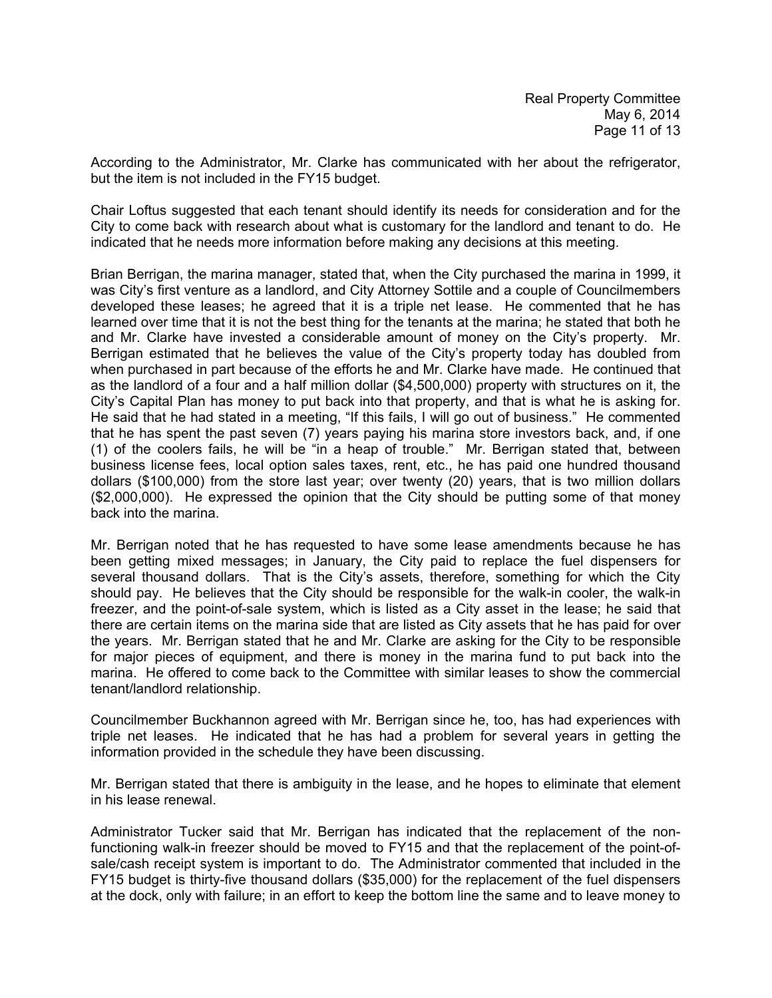According to the Administrator, Mr. Clarke has communicated with her about the refrigerator, but the item is not included in the FY15 budget.

Chair Loftus suggested that each tenant should identify its needs for consideration and for the City to come back with research about what is customary for the landlord and tenant to do. He indicated that he needs more information before making any decisions at this meeting.

Brian Berrigan, the marina manager, stated that, when the City purchased the marina in 1999, it was City's first venture as a landlord, and City Attorney Sottile and a couple of Councilmembers developed these leases; he agreed that it is a triple net lease. He commented that he has learned over time that it is not the best thing for the tenants at the marina; he stated that both he and Mr. Clarke have invested a considerable amount of money on the City's property. Mr. Berrigan estimated that he believes the value of the City's property today has doubled from when purchased in part because of the efforts he and Mr. Clarke have made. He continued that as the landlord of a four and a half million dollar (\$4,500,000) property with structures on it, the City's Capital Plan has money to put back into that property, and that is what he is asking for. He said that he had stated in a meeting, "If this fails, I will go out of business." He commented that he has spent the past seven (7) years paying his marina store investors back, and, if one (1) of the coolers fails, he will be "in a heap of trouble." Mr. Berrigan stated that, between business license fees, local option sales taxes, rent, etc., he has paid one hundred thousand dollars (\$100,000) from the store last year; over twenty (20) years, that is two million dollars (\$2,000,000). He expressed the opinion that the City should be putting some of that money back into the marina.

Mr. Berrigan noted that he has requested to have some lease amendments because he has been getting mixed messages; in January, the City paid to replace the fuel dispensers for several thousand dollars. That is the City's assets, therefore, something for which the City should pay. He believes that the City should be responsible for the walk-in cooler, the walk-in freezer, and the point-of-sale system, which is listed as a City asset in the lease; he said that there are certain items on the marina side that are listed as City assets that he has paid for over the years. Mr. Berrigan stated that he and Mr. Clarke are asking for the City to be responsible for major pieces of equipment, and there is money in the marina fund to put back into the marina. He offered to come back to the Committee with similar leases to show the commercial tenant/landlord relationship.

Councilmember Buckhannon agreed with Mr. Berrigan since he, too, has had experiences with triple net leases. He indicated that he has had a problem for several years in getting the information provided in the schedule they have been discussing.

Mr. Berrigan stated that there is ambiguity in the lease, and he hopes to eliminate that element in his lease renewal.

Administrator Tucker said that Mr. Berrigan has indicated that the replacement of the nonfunctioning walk-in freezer should be moved to FY15 and that the replacement of the point-ofsale/cash receipt system is important to do. The Administrator commented that included in the FY15 budget is thirty-five thousand dollars (\$35,000) for the replacement of the fuel dispensers at the dock, only with failure; in an effort to keep the bottom line the same and to leave money to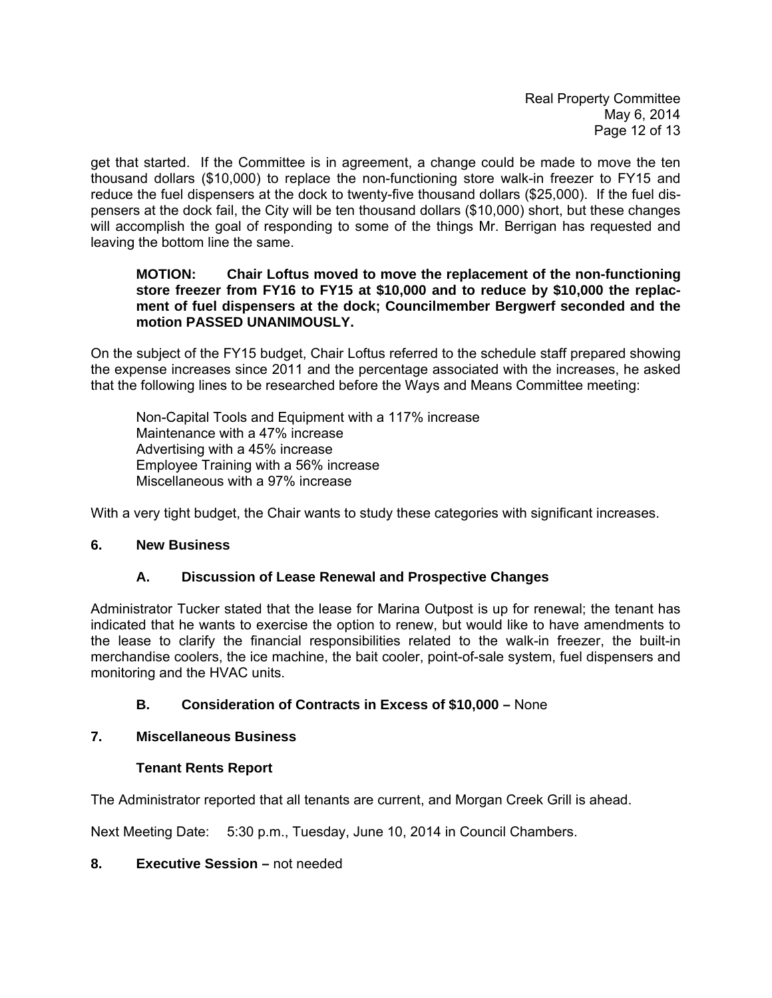Real Property Committee May 6, 2014 Page 12 of 13

get that started. If the Committee is in agreement, a change could be made to move the ten thousand dollars (\$10,000) to replace the non-functioning store walk-in freezer to FY15 and reduce the fuel dispensers at the dock to twenty-five thousand dollars (\$25,000). If the fuel dispensers at the dock fail, the City will be ten thousand dollars (\$10,000) short, but these changes will accomplish the goal of responding to some of the things Mr. Berrigan has requested and leaving the bottom line the same.

#### **MOTION: Chair Loftus moved to move the replacement of the non-functioning store freezer from FY16 to FY15 at \$10,000 and to reduce by \$10,000 the replac ment of fuel dispensers at the dock; Councilmember Bergwerf seconded and the motion PASSED UNANIMOUSLY.**

On the subject of the FY15 budget, Chair Loftus referred to the schedule staff prepared showing the expense increases since 2011 and the percentage associated with the increases, he asked that the following lines to be researched before the Ways and Means Committee meeting:

 Non-Capital Tools and Equipment with a 117% increase Maintenance with a 47% increase Advertising with a 45% increase Employee Training with a 56% increase Miscellaneous with a 97% increase

With a very tight budget, the Chair wants to study these categories with significant increases.

## **6. New Business**

## **A. Discussion of Lease Renewal and Prospective Changes**

Administrator Tucker stated that the lease for Marina Outpost is up for renewal; the tenant has indicated that he wants to exercise the option to renew, but would like to have amendments to the lease to clarify the financial responsibilities related to the walk-in freezer, the built-in merchandise coolers, the ice machine, the bait cooler, point-of-sale system, fuel dispensers and monitoring and the HVAC units.

# **B. Consideration of Contracts in Excess of \$10,000 –** None

## **7. Miscellaneous Business**

## **Tenant Rents Report**

The Administrator reported that all tenants are current, and Morgan Creek Grill is ahead.

Next Meeting Date: 5:30 p.m., Tuesday, June 10, 2014 in Council Chambers.

## **8. Executive Session –** not needed